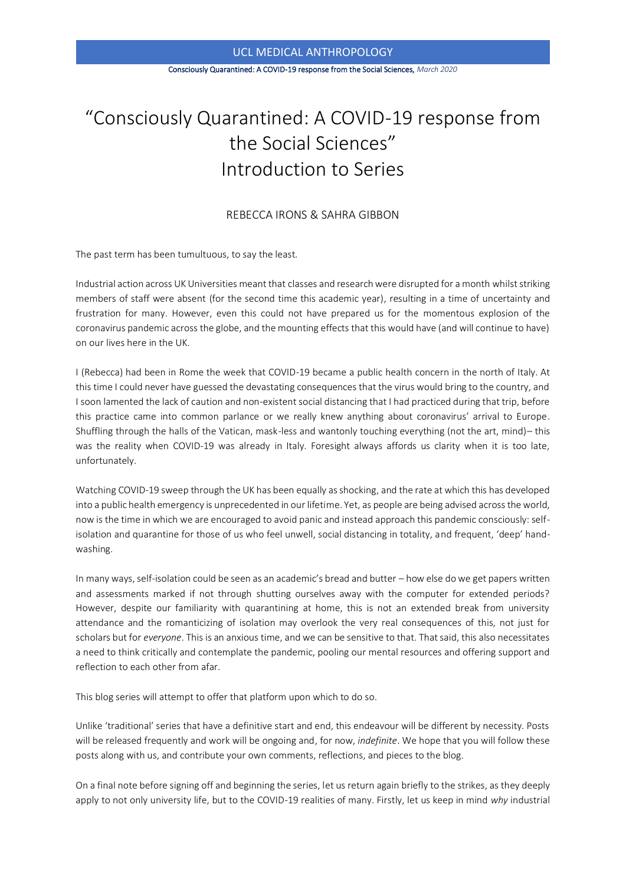#### UCL MEDICAL ANTHROPOLOGY

#### Consciously Quarantined: A COVID-19 response from the Social Sciences, *March 2020*

# "Consciously Quarantined: A COVID-19 response from the Social Sciences" Introduction to Series

## REBECCA IRONS & SAHRA GIBBON

The past term has been tumultuous, to say the least.

Industrial action across UK Universities meant that classes and research were disrupted for a month whilst striking members of staff were absent (for the second time this academic year), resulting in a time of uncertainty and frustration for many. However, even this could not have prepared us for the momentous explosion of the coronavirus pandemic across the globe, and the mounting effects that this would have (and will continue to have) on our lives here in the UK.

I (Rebecca) had been in Rome the week that COVID-19 became a public health concern in the north of Italy. At this time I could never have guessed the devastating consequences that the virus would bring to the country, and I soon lamented the lack of caution and non-existent social distancing that I had practiced during that trip, before this practice came into common parlance or we really knew anything about coronavirus' arrival to Europe. Shuffling through the halls of the Vatican, mask-less and wantonly touching everything (not the art, mind)– this was the reality when COVID-19 was already in Italy. Foresight always affords us clarity when it is too late, unfortunately.

Watching COVID-19 sweep through the UK has been equally as shocking, and the rate at which this has developed into a public health emergency is unprecedented in our lifetime. Yet, as people are being advised across the world, now is the time in which we are encouraged to avoid panic and instead approach this pandemic consciously: selfisolation and quarantine for those of us who feel unwell, social distancing in totality, and frequent, 'deep' handwashing.

In many ways, self-isolation could be seen as an academic's bread and butter – how else do we get papers written and assessments marked if not through shutting ourselves away with the computer for extended periods? However, despite our familiarity with quarantining at home, this is not an extended break from university attendance and the romanticizing of isolation may overlook the very real consequences of this, not just for scholars but for *everyone*. This is an anxious time, and we can be sensitive to that. That said, this also necessitates a need to think critically and contemplate the pandemic, pooling our mental resources and offering support and reflection to each other from afar.

This blog series will attempt to offer that platform upon which to do so.

Unlike 'traditional' series that have a definitive start and end, this endeavour will be different by necessity. Posts will be released frequently and work will be ongoing and, for now, *indefinite*. We hope that you will follow these posts along with us, and contribute your own comments, reflections, and pieces to the blog.

On a final note before signing off and beginning the series, let us return again briefly to the strikes, as they deeply apply to not only university life, but to the COVID-19 realities of many. Firstly, let us keep in mind *why* industrial